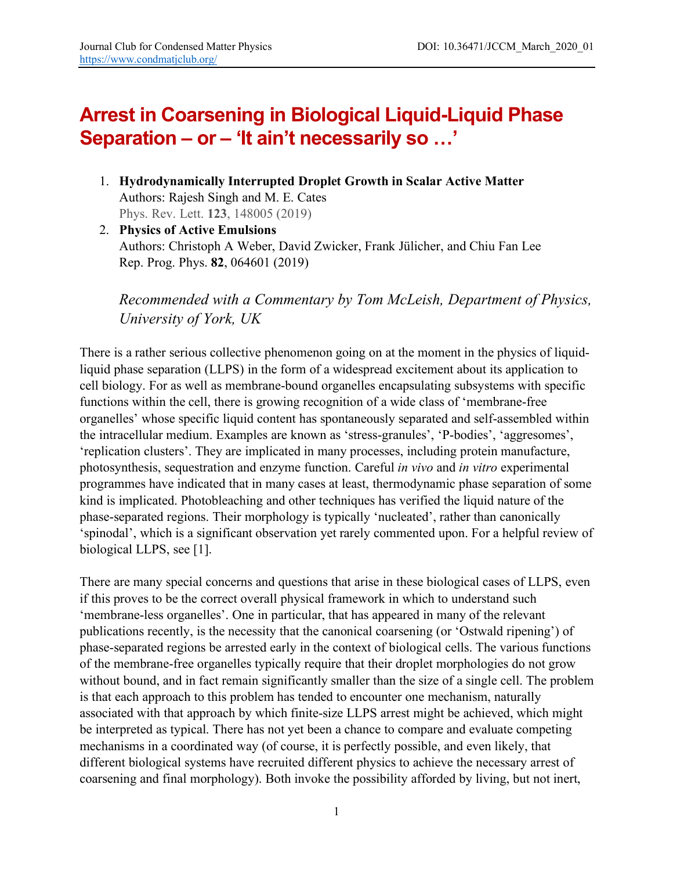## **Arrest in Coarsening in Biological Liquid-Liquid Phase Separation – or – 'It ain't necessarily so …'**

- 1. **Hydrodynamically Interrupted Droplet Growth in Scalar Active Matter** Authors: Rajesh Singh and M. E. Cates Phys. Rev. Lett. **123**, 148005 (2019)
- 2. **Physics of Active Emulsions** Authors: Christoph A Weber, David Zwicker, Frank Jülicher, and Chiu Fan Lee Rep. Prog. Phys. **82**, 064601 (2019)

*Recommended with a Commentary by Tom McLeish, Department of Physics, University of York, UK*

There is a rather serious collective phenomenon going on at the moment in the physics of liquidliquid phase separation (LLPS) in the form of a widespread excitement about its application to cell biology. For as well as membrane-bound organelles encapsulating subsystems with specific functions within the cell, there is growing recognition of a wide class of 'membrane-free organelles' whose specific liquid content has spontaneously separated and self-assembled within the intracellular medium. Examples are known as 'stress-granules', 'P-bodies', 'aggresomes', 'replication clusters'. They are implicated in many processes, including protein manufacture, photosynthesis, sequestration and enzyme function. Careful *in vivo* and *in vitro* experimental programmes have indicated that in many cases at least, thermodynamic phase separation of some kind is implicated. Photobleaching and other techniques has verified the liquid nature of the phase-separated regions. Their morphology is typically 'nucleated', rather than canonically 'spinodal', which is a significant observation yet rarely commented upon. For a helpful review of biological LLPS, see [1].

There are many special concerns and questions that arise in these biological cases of LLPS, even if this proves to be the correct overall physical framework in which to understand such 'membrane-less organelles'. One in particular, that has appeared in many of the relevant publications recently, is the necessity that the canonical coarsening (or 'Ostwald ripening') of phase-separated regions be arrested early in the context of biological cells. The various functions of the membrane-free organelles typically require that their droplet morphologies do not grow without bound, and in fact remain significantly smaller than the size of a single cell. The problem is that each approach to this problem has tended to encounter one mechanism, naturally associated with that approach by which finite-size LLPS arrest might be achieved, which might be interpreted as typical. There has not yet been a chance to compare and evaluate competing mechanisms in a coordinated way (of course, it is perfectly possible, and even likely, that different biological systems have recruited different physics to achieve the necessary arrest of coarsening and final morphology). Both invoke the possibility afforded by living, but not inert,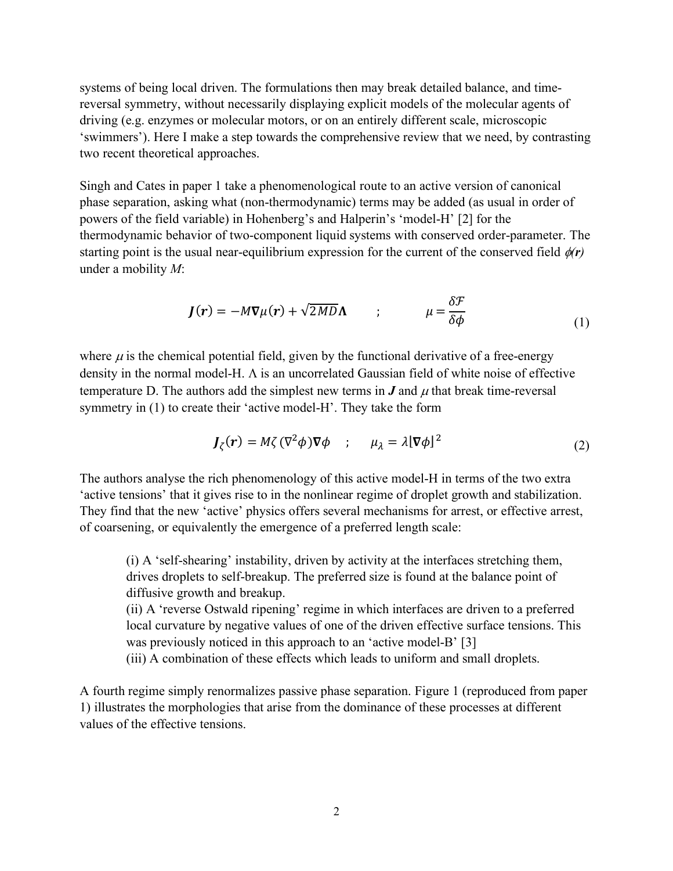systems of being local driven. The formulations then may break detailed balance, and timereversal symmetry, without necessarily displaying explicit models of the molecular agents of driving (e.g. enzymes or molecular motors, or on an entirely different scale, microscopic 'swimmers'). Here I make a step towards the comprehensive review that we need, by contrasting two recent theoretical approaches.

Singh and Cates in paper 1 take a phenomenological route to an active version of canonical phase separation, asking what (non-thermodynamic) terms may be added (as usual in order of powers of the field variable) in Hohenberg's and Halperin's 'model-H' [2] for the thermodynamic behavior of two-component liquid systems with conserved order-parameter. The starting point is the usual near-equilibrium expression for the current of the conserved field  $\phi(r)$ under a mobility *M*:

$$
J(r) = -M\nabla\mu(r) + \sqrt{2MD}\Lambda \qquad ; \qquad \mu = \frac{\delta\mathcal{F}}{\delta\phi} \tag{1}
$$

where  $\mu$  is the chemical potential field, given by the functional derivative of a free-energy density in the normal model-H.  $\Lambda$  is an uncorrelated Gaussian field of white noise of effective temperature D. The authors add the simplest new terms in  $J$  and  $\mu$  that break time-reversal symmetry in (1) to create their 'active model-H'. They take the form

$$
J_{\zeta}(r) = M\zeta(\nabla^2 \phi) \nabla \phi \quad ; \quad \mu_{\lambda} = \lambda |\nabla \phi|^2 \tag{2}
$$

The authors analyse the rich phenomenology of this active model-H in terms of the two extra 'active tensions' that it gives rise to in the nonlinear regime of droplet growth and stabilization. They find that the new 'active' physics offers several mechanisms for arrest, or effective arrest, of coarsening, or equivalently the emergence of a preferred length scale:

(i) A 'self-shearing' instability, driven by activity at the interfaces stretching them, drives droplets to self-breakup. The preferred size is found at the balance point of diffusive growth and breakup.

(ii) A 'reverse Ostwald ripening' regime in which interfaces are driven to a preferred local curvature by negative values of one of the driven effective surface tensions. This was previously noticed in this approach to an 'active model-B' [3]

(iii) A combination of these effects which leads to uniform and small droplets.

A fourth regime simply renormalizes passive phase separation. Figure 1 (reproduced from paper 1) illustrates the morphologies that arise from the dominance of these processes at different values of the effective tensions.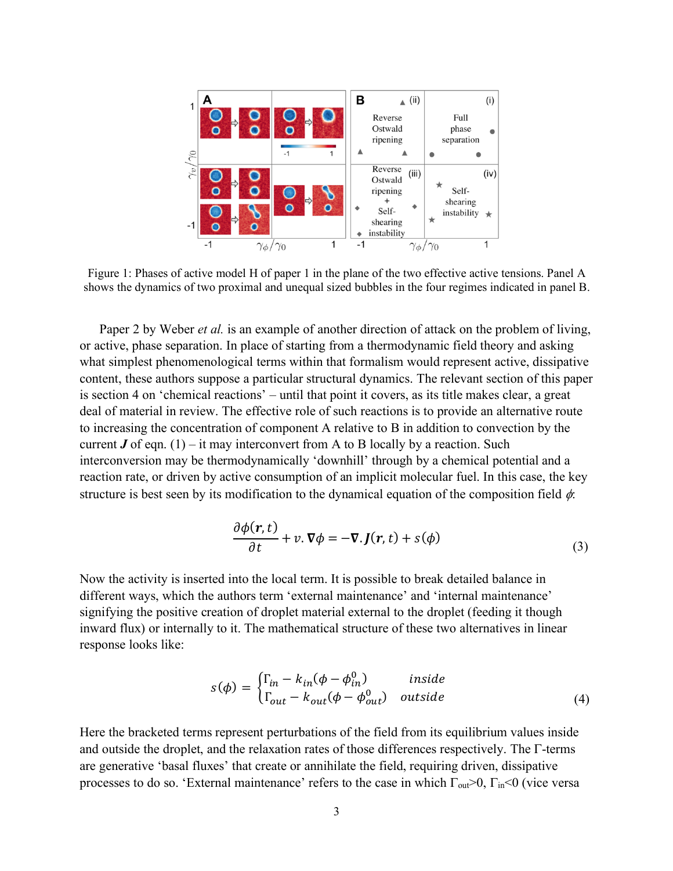

Figure 1: Phases of active model H of paper 1 in the plane of the two effective active tensions. Panel A shows the dynamics of two proximal and unequal sized bubbles in the four regimes indicated in panel B.

Paper 2 by Weber *et al.* is an example of another direction of attack on the problem of living, or active, phase separation. In place of starting from a thermodynamic field theory and asking what simplest phenomenological terms within that formalism would represent active, dissipative content, these authors suppose a particular structural dynamics. The relevant section of this paper is section 4 on 'chemical reactions' – until that point it covers, as its title makes clear, a great deal of material in review. The effective role of such reactions is to provide an alternative route to increasing the concentration of component A relative to B in addition to convection by the current  $J$  of eqn. (1) – it may interconvert from A to B locally by a reaction. Such interconversion may be thermodynamically 'downhill' through by a chemical potential and a reaction rate, or driven by active consumption of an implicit molecular fuel. In this case, the key structure is best seen by its modification to the dynamical equation of the composition field  $\phi$ :

$$
\frac{\partial \phi(r,t)}{\partial t} + v \cdot \nabla \phi = -\nabla \cdot J(r,t) + s(\phi)
$$
\n(3)

Now the activity is inserted into the local term. It is possible to break detailed balance in different ways, which the authors term 'external maintenance' and 'internal maintenance' signifying the positive creation of droplet material external to the droplet (feeding it though inward flux) or internally to it. The mathematical structure of these two alternatives in linear response looks like:

$$
s(\phi) = \begin{cases} \Gamma_{in} - k_{in}(\phi - \phi_{in}^{0}) & \text{inside} \\ \Gamma_{out} - k_{out}(\phi - \phi_{out}^{0}) & \text{outside} \end{cases}
$$
(4)

Here the bracketed terms represent perturbations of the field from its equilibrium values inside and outside the droplet, and the relaxation rates of those differences respectively. The  $\Gamma$ -terms are generative 'basal fluxes' that create or annihilate the field, requiring driven, dissipative processes to do so. 'External maintenance' refers to the case in which  $\Gamma_{out} > 0$ ,  $\Gamma_{in} < 0$  (vice versa